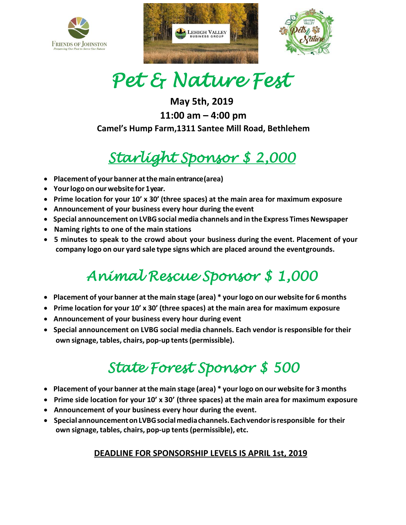





# *Pet & Nature Fest*

**May 5th, 2019 11:00 am – 4:00 pm Camel's Hump Farm,1311 Santee Mill Road, Bethlehem**

### *Starlight Sponsor \$ 2,000*

- **Placement of your banner atthe main entrance(area)**
- **Yourlogoon ourwebsitefor 1 year.**
- **Prime location for your 10' x 30' (three spaces) at the main area for maximum exposure**
- **Announcement of your business every hour during the event**
- **Special announcement on LVBGsocial media channels and in the Express TimesNewspaper**
- **Naming rights to one of the main stations**
- **5 minutes to speak to the crowd about your business during the event. Placement of your company logo on our yard sale type signs which are placed around the eventgrounds.**

## *Animal Rescue Sponsor \$ 1,000*

- **Placement of your banner atthe main stage (area) \* yourlogo on our website for 6 months**
- **Prime location for your 10' x 30' (three spaces) at the main area for maximum exposure**
- **Announcement of your business every hour during event**
- **Special announcement on LVBG social media channels. Each vendor isresponsible for their own signage,tables, chairs, pop-up tents(permissible).**

### *State Forest Sponsor \$ 500*

- **Placement of your banner atthe main stage (area) \* yourlogo on our website for 3 months**
- **Prime side location for your 10' x 30' (three spaces) at the main area for maximum exposure**
- **Announcement of your business every hour during the event.**
- **Special announcementonLVBGsocialmediachannels.Eachvendorisresponsible for their own signage, tables, chairs, pop-up tents(permissible), etc.**

### **DEADLINE FOR SPONSORSHIP LEVELS IS APRIL 1st, 2019**